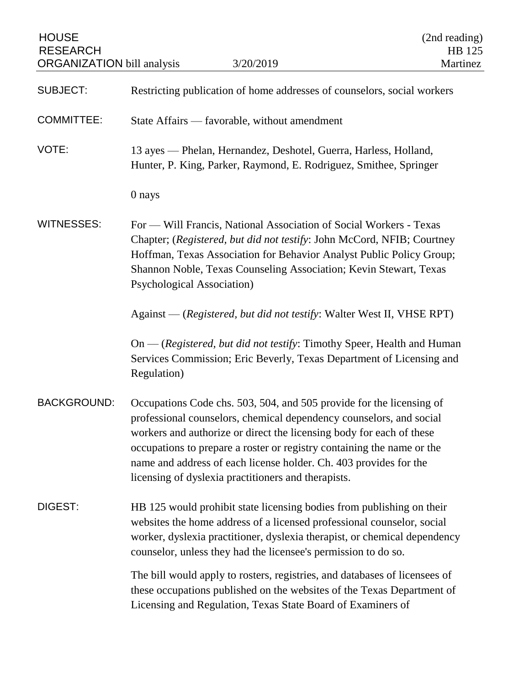| <b>HOUSE</b><br><b>RESEARCH</b><br><b>ORGANIZATION</b> bill analysis | 3/20/2019                                                                                                                                                                                                                                                                                                                                                                                                                 | (2nd reading)<br>HB 125<br>Martinez |
|----------------------------------------------------------------------|---------------------------------------------------------------------------------------------------------------------------------------------------------------------------------------------------------------------------------------------------------------------------------------------------------------------------------------------------------------------------------------------------------------------------|-------------------------------------|
| <b>SUBJECT:</b>                                                      | Restricting publication of home addresses of counselors, social workers                                                                                                                                                                                                                                                                                                                                                   |                                     |
| <b>COMMITTEE:</b>                                                    | State Affairs — favorable, without amendment                                                                                                                                                                                                                                                                                                                                                                              |                                     |
| VOTE:                                                                | 13 ayes — Phelan, Hernandez, Deshotel, Guerra, Harless, Holland,<br>Hunter, P. King, Parker, Raymond, E. Rodriguez, Smithee, Springer                                                                                                                                                                                                                                                                                     |                                     |
|                                                                      | 0 nays                                                                                                                                                                                                                                                                                                                                                                                                                    |                                     |
| <b>WITNESSES:</b>                                                    | For — Will Francis, National Association of Social Workers - Texas<br>Chapter; (Registered, but did not testify: John McCord, NFIB; Courtney<br>Hoffman, Texas Association for Behavior Analyst Public Policy Group;<br>Shannon Noble, Texas Counseling Association; Kevin Stewart, Texas<br><b>Psychological Association</b> )                                                                                           |                                     |
|                                                                      | Against — (Registered, but did not testify: Walter West II, VHSE RPT)                                                                                                                                                                                                                                                                                                                                                     |                                     |
|                                                                      | On — (Registered, but did not testify: Timothy Speer, Health and Human<br>Services Commission; Eric Beverly, Texas Department of Licensing and<br>Regulation)                                                                                                                                                                                                                                                             |                                     |
| <b>BACKGROUND:</b>                                                   | Occupations Code chs. 503, 504, and 505 provide for the licensing of<br>professional counselors, chemical dependency counselors, and social<br>workers and authorize or direct the licensing body for each of these<br>occupations to prepare a roster or registry containing the name or the<br>name and address of each license holder. Ch. 403 provides for the<br>licensing of dyslexia practitioners and therapists. |                                     |
| DIGEST:                                                              | HB 125 would prohibit state licensing bodies from publishing on their<br>websites the home address of a licensed professional counselor, social<br>worker, dyslexia practitioner, dyslexia therapist, or chemical dependency<br>counselor, unless they had the licensee's permission to do so.                                                                                                                            |                                     |
|                                                                      | The bill would apply to rosters, registries, and databases of licensees of<br>these occupations published on the websites of the Texas Department of<br>Licensing and Regulation, Texas State Board of Examiners of                                                                                                                                                                                                       |                                     |